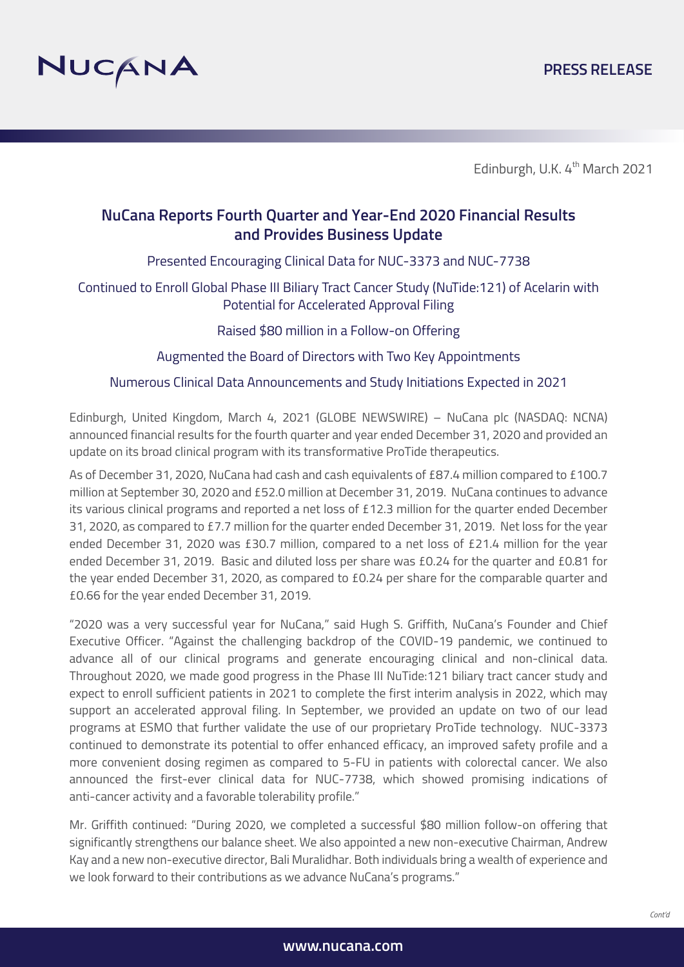

### **NuCana Reports Fourth Quarter and Year-End 2020 Financial Results and Provides Business Update**

Presented Encouraging Clinical Data for NUC-3373 and NUC-7738

Continued to Enroll Global Phase III Biliary Tract Cancer Study (NuTide:121) of Acelarin with Potential for Accelerated Approval Filing

#### Raised \$80 million in a Follow-on Offering

#### Augmented the Board of Directors with Two Key Appointments

#### Numerous Clinical Data Announcements and Study Initiations Expected in 2021

Edinburgh, United Kingdom, March 4, 2021 (GLOBE NEWSWIRE) – NuCana plc (NASDAQ: NCNA) announced financial results for the fourth quarter and year ended December 31, 2020 and provided an update on its broad clinical program with its transformative ProTide therapeutics.

As of December 31, 2020, NuCana had cash and cash equivalents of £87.4 million compared to £100.7 million at September 30, 2020 and £52.0 million at December 31, 2019. NuCana continues to advance its various clinical programs and reported a net loss of £12.3 million for the quarter ended December 31, 2020, as compared to £7.7 million for the quarter ended December 31, 2019. Net loss for the year ended December 31, 2020 was £30.7 million, compared to a net loss of £21.4 million for the year ended December 31, 2019. Basic and diluted loss per share was £0.24 for the quarter and £0.81 for the year ended December 31, 2020, as compared to £0.24 per share for the comparable quarter and £0.66 for the year ended December 31, 2019.

"2020 was a very successful year for NuCana," said Hugh S. Griffith, NuCana's Founder and Chief Executive Officer. "Against the challenging backdrop of the COVID-19 pandemic, we continued to advance all of our clinical programs and generate encouraging clinical and non-clinical data. Throughout 2020, we made good progress in the Phase III NuTide:121 biliary tract cancer study and expect to enroll sufficient patients in 2021 to complete the first interim analysis in 2022, which may support an accelerated approval filing. In September, we provided an update on two of our lead programs at ESMO that further validate the use of our proprietary ProTide technology. NUC-3373 continued to demonstrate its potential to offer enhanced efficacy, an improved safety profile and a more convenient dosing regimen as compared to 5-FU in patients with colorectal cancer. We also announced the first-ever clinical data for NUC-7738, which showed promising indications of anti-cancer activity and a favorable tolerability profile."

Mr. Griffith continued: "During 2020, we completed a successful \$80 million follow-on offering that significantly strengthens our balance sheet. We also appointed a new non-executive Chairman, Andrew Kay and a new non-executive director, Bali Muralidhar. Both individuals bring a wealth of experience and we look forward to their contributions as we advance NuCana's programs."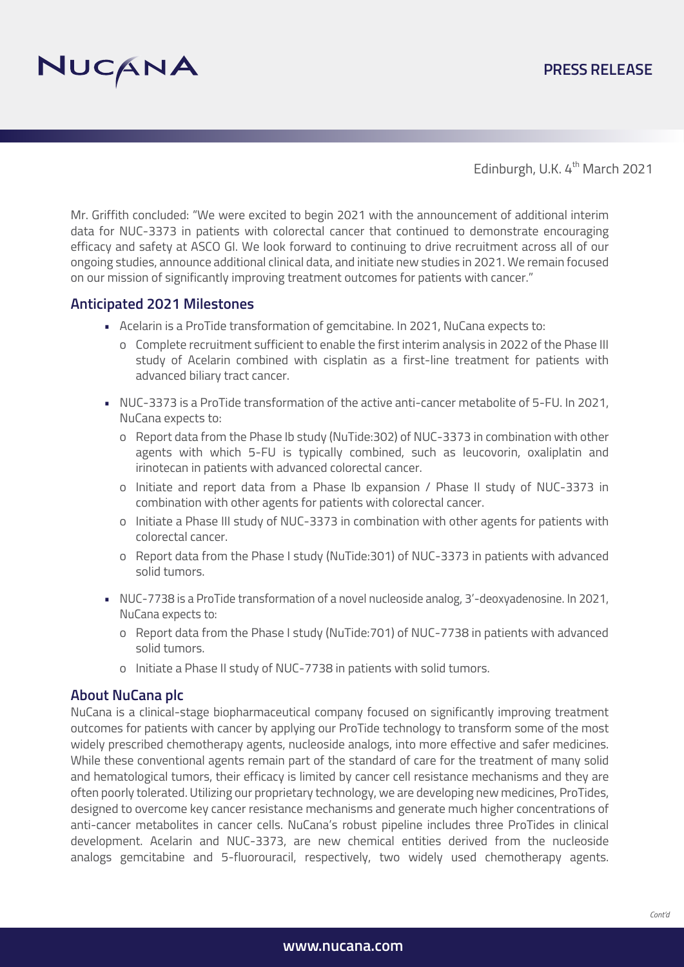

### **PRESS RELEASE**

Edinburgh, U.K. 4<sup>th</sup> March 2021

Mr. Griffith concluded: "We were excited to begin 2021 with the announcement of additional interim data for NUC-3373 in patients with colorectal cancer that continued to demonstrate encouraging efficacy and safety at ASCO GI. We look forward to continuing to drive recruitment across all of our ongoing studies, announce additional clinical data, and initiate new studies in 2021. We remain focused on our mission of significantly improving treatment outcomes for patients with cancer."

#### **Anticipated 2021 Milestones**

- Acelarin is a ProTide transformation of gemcitabine. In 2021, NuCana expects to:
	- o Complete recruitment sufficient to enable the first interim analysis in 2022 of the Phase III study of Acelarin combined with cisplatin as a first-line treatment for patients with advanced biliary tract cancer.
- NUC-3373 is a ProTide transformation of the active anti-cancer metabolite of 5-FU. In 2021, NuCana expects to:
	- o Report data from the Phase Ib study (NuTide:302) of NUC-3373 in combination with other agents with which 5-FU is typically combined, such as leucovorin, oxaliplatin and irinotecan in patients with advanced colorectal cancer.
	- o Initiate and report data from a Phase Ib expansion / Phase II study of NUC-3373 in combination with other agents for patients with colorectal cancer.
	- o Initiate a Phase III study of NUC-3373 in combination with other agents for patients with colorectal cancer.
	- o Report data from the Phase I study (NuTide:301) of NUC-3373 in patients with advanced solid tumors.
- NUC-7738 is a ProTide transformation of a novel nucleoside analog, 3'-deoxyadenosine. In 2021, NuCana expects to:
	- o Report data from the Phase I study (NuTide:701) of NUC-7738 in patients with advanced solid tumors.
	- o Initiate a Phase II study of NUC-7738 in patients with solid tumors.

#### **About NuCana plc**

NuCana is a clinical-stage biopharmaceutical company focused on significantly improving treatment outcomes for patients with cancer by applying our ProTide technology to transform some of the most widely prescribed chemotherapy agents, nucleoside analogs, into more effective and safer medicines. While these conventional agents remain part of the standard of care for the treatment of many solid and hematological tumors, their efficacy is limited by cancer cell resistance mechanisms and they are often poorly tolerated. Utilizing our proprietary technology, we are developing new medicines, ProTides, designed to overcome key cancer resistance mechanisms and generate much higher concentrations of anti-cancer metabolites in cancer cells. NuCana's robust pipeline includes three ProTides in clinical development. Acelarin and NUC-3373, are new chemical entities derived from the nucleoside analogs gemcitabine and 5-fluorouracil, respectively, two widely used chemotherapy agents.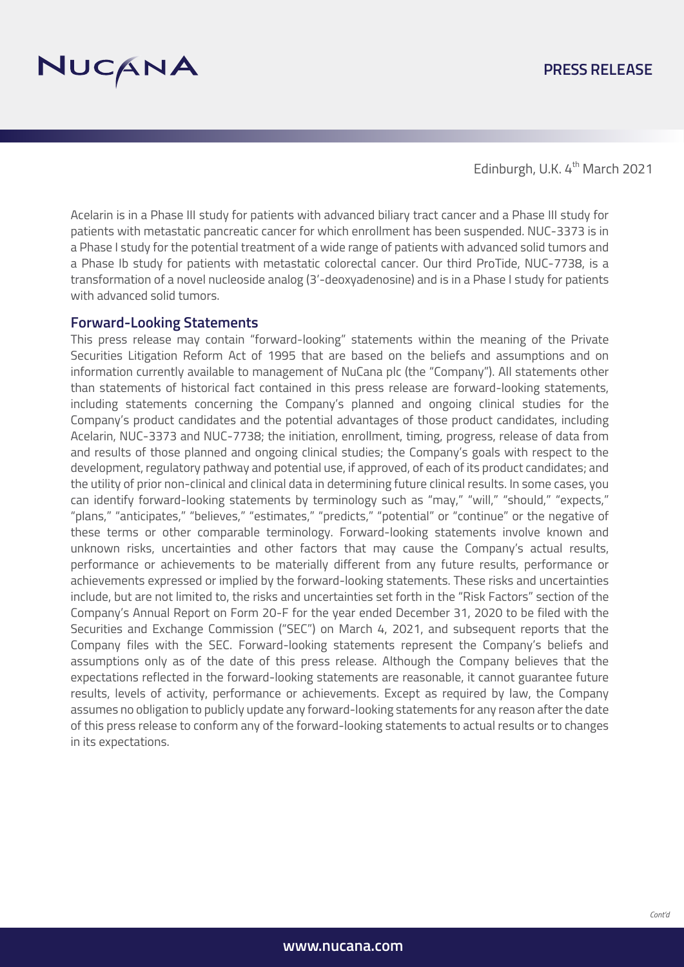

Acelarin is in a Phase III study for patients with advanced biliary tract cancer and a Phase III study for patients with metastatic pancreatic cancer for which enrollment has been suspended. NUC-3373 is in a Phase I study for the potential treatment of a wide range of patients with advanced solid tumors and a Phase Ib study for patients with metastatic colorectal cancer. Our third ProTide, NUC-7738, is a transformation of a novel nucleoside analog (3'-deoxyadenosine) and is in a Phase I study for patients with advanced solid tumors.

#### **Forward-Looking Statements**

This press release may contain "forward-looking" statements within the meaning of the Private Securities Litigation Reform Act of 1995 that are based on the beliefs and assumptions and on information currently available to management of NuCana plc (the "Company"). All statements other than statements of historical fact contained in this press release are forward-looking statements, including statements concerning the Company's planned and ongoing clinical studies for the Company's product candidates and the potential advantages of those product candidates, including Acelarin, NUC-3373 and NUC-7738; the initiation, enrollment, timing, progress, release of data from and results of those planned and ongoing clinical studies; the Company's goals with respect to the development, regulatory pathway and potential use, if approved, of each of its product candidates; and the utility of prior non-clinical and clinical data in determining future clinical results. In some cases, you can identify forward-looking statements by terminology such as "may," "will," "should," "expects," "plans," "anticipates," "believes," "estimates," "predicts," "potential" or "continue" or the negative of these terms or other comparable terminology. Forward-looking statements involve known and unknown risks, uncertainties and other factors that may cause the Company's actual results, performance or achievements to be materially different from any future results, performance or achievements expressed or implied by the forward-looking statements. These risks and uncertainties include, but are not limited to, the risks and uncertainties set forth in the "Risk Factors" section of the Company's Annual Report on Form 20-F for the year ended December 31, 2020 to be filed with the Securities and Exchange Commission ("SEC") on March 4, 2021, and subsequent reports that the Company files with the SEC. Forward-looking statements represent the Company's beliefs and assumptions only as of the date of this press release. Although the Company believes that the expectations reflected in the forward-looking statements are reasonable, it cannot guarantee future results, levels of activity, performance or achievements. Except as required by law, the Company assumes no obligation to publicly update any forward-looking statements for any reason after the date of this press release to conform any of the forward-looking statements to actual results or to changes in its expectations.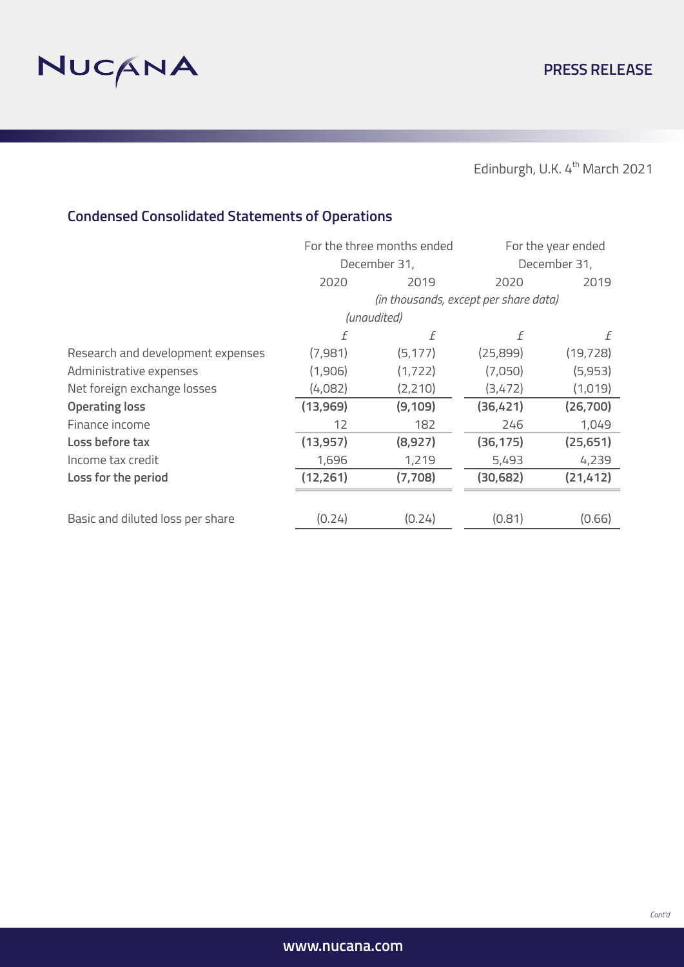

# **Condensed Consolidated Statements of Operations**

|                                   | For the three months ended<br>December 31, |          | For the year ended<br>December 31, |           |  |
|-----------------------------------|--------------------------------------------|----------|------------------------------------|-----------|--|
|                                   |                                            |          |                                    |           |  |
|                                   | 2020                                       | 2019     | 2020                               | 2019      |  |
|                                   | (in thousands, except per share data)      |          |                                    |           |  |
|                                   | (unaudited)                                |          |                                    |           |  |
|                                   | f                                          | f        | f                                  | f         |  |
| Research and development expenses | (7,981)                                    | (5, 177) | (25,899)                           | (19, 728) |  |
| Administrative expenses           | (1,906)                                    | (1, 722) | (7,050)                            | (5,953)   |  |
| Net foreign exchange losses       | (4,082)                                    | (2,210)  | (3,472)                            | (1,019)   |  |
| <b>Operating loss</b>             | (13,969)                                   | (9, 109) | (36, 421)                          | (26, 700) |  |
| Finance income                    | 12                                         | 182      | 246                                | 1,049     |  |
| Loss before tax                   | (13, 957)                                  | (8,927)  | (36, 175)                          | (25, 651) |  |
| Income tax credit                 | 1,696                                      | 1,219    | 5,493                              | 4,239     |  |
| Loss for the period               | (12, 261)                                  | (7,708)  | (30, 682)                          | (21, 412) |  |
|                                   |                                            |          |                                    |           |  |
| Basic and diluted loss per share  | (0.24)                                     | (0.24)   | (0.81)                             | (0.66)    |  |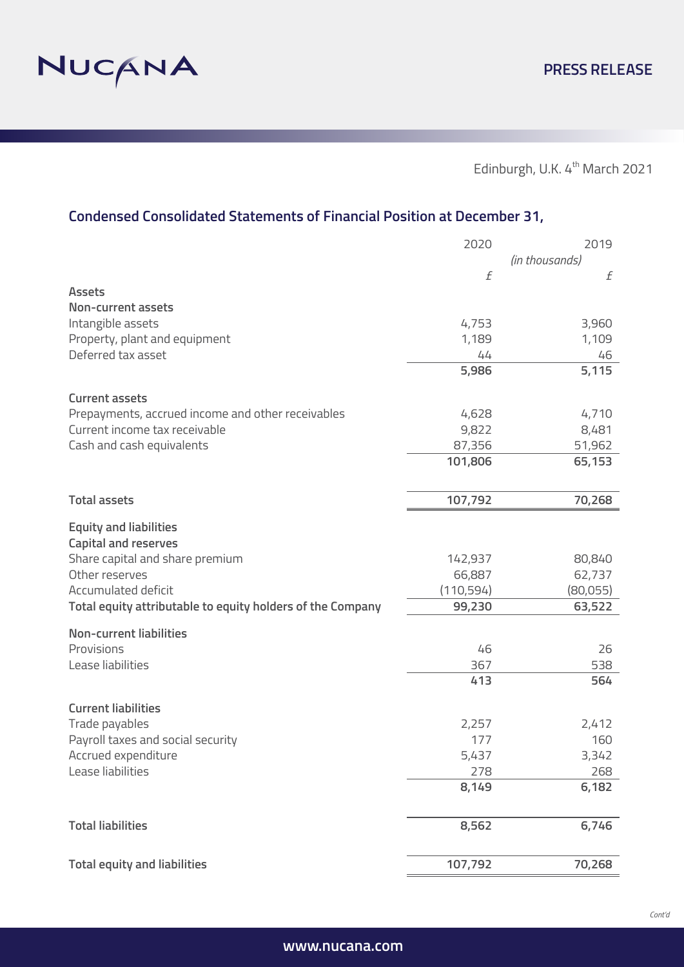

# **Condensed Consolidated Statements of Financial Position at December 31,**

|                                                            | 2020       | 2019           |
|------------------------------------------------------------|------------|----------------|
|                                                            |            | (in thousands) |
|                                                            | f          | £              |
| <b>Assets</b>                                              |            |                |
| <b>Non-current assets</b>                                  |            |                |
| Intangible assets                                          | 4,753      | 3,960          |
| Property, plant and equipment                              | 1,189      | 1,109          |
| Deferred tax asset                                         | 44         | 46             |
|                                                            | 5,986      | 5,115          |
|                                                            |            |                |
| <b>Current assets</b>                                      |            |                |
| Prepayments, accrued income and other receivables          | 4,628      | 4,710          |
| Current income tax receivable                              | 9,822      | 8,481          |
| Cash and cash equivalents                                  | 87,356     | 51,962         |
|                                                            | 101,806    | 65,153         |
|                                                            |            |                |
| <b>Total assets</b>                                        | 107,792    | 70,268         |
|                                                            |            |                |
| <b>Equity and liabilities</b>                              |            |                |
| <b>Capital and reserves</b>                                |            |                |
| Share capital and share premium                            | 142,937    | 80,840         |
| Other reserves                                             | 66,887     | 62,737         |
| Accumulated deficit                                        | (110, 594) | (80,055)       |
| Total equity attributable to equity holders of the Company | 99,230     | 63,522         |
|                                                            |            |                |
| <b>Non-current liabilities</b>                             |            |                |
| Provisions                                                 | 46         | 26             |
| Lease liabilities                                          | 367        | 538            |
|                                                            | 413        | 564            |
|                                                            |            |                |
| <b>Current liabilities</b>                                 |            |                |
| Trade payables                                             | 2,257      | 2,412          |
| Payroll taxes and social security                          | 177        | 160            |
| Accrued expenditure                                        | 5,437      | 3,342          |
| Lease liabilities                                          | 278        | 268            |
|                                                            | 8,149      | 6,182          |
|                                                            |            |                |
| <b>Total liabilities</b>                                   | 8,562      | 6,746          |
|                                                            |            |                |
| <b>Total equity and liabilities</b>                        | 107,792    | 70,268         |
|                                                            |            |                |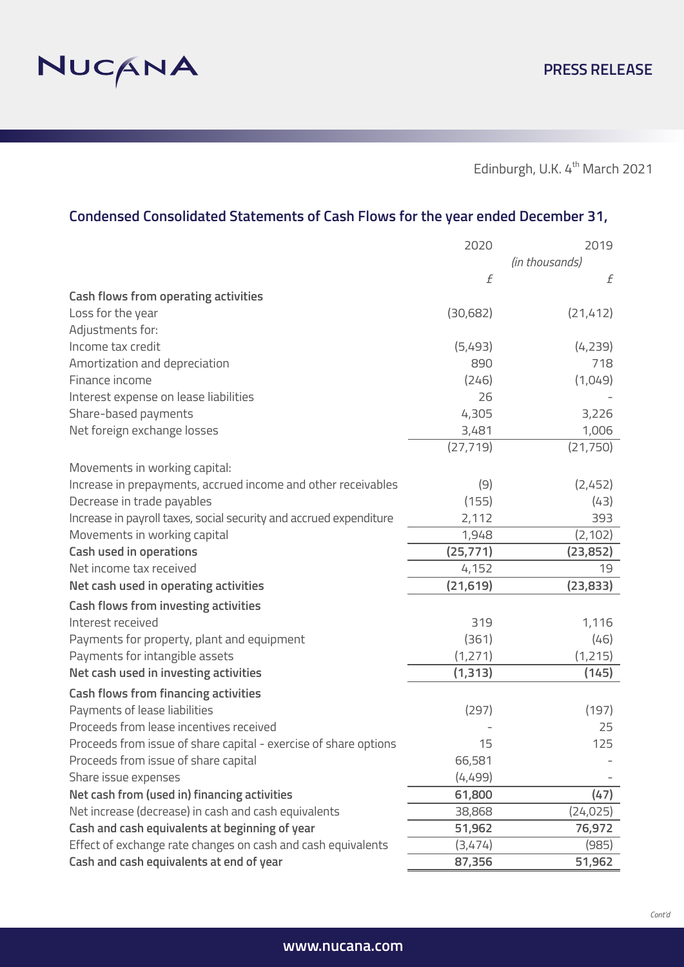

# **Condensed Consolidated Statements of Cash Flows for the year ended December 31,**

|                                                                          | 2020      | 2019           |
|--------------------------------------------------------------------------|-----------|----------------|
|                                                                          |           | (in thousands) |
|                                                                          | f         | f              |
| <b>Cash flows from operating activities</b>                              |           |                |
| Loss for the year                                                        | (30, 682) | (21, 412)      |
| Adjustments for:                                                         |           |                |
| Income tax credit                                                        | (5,493)   | (4,239)        |
| Amortization and depreciation                                            | 890       | 718            |
| Finance income                                                           | (246)     | (1,049)        |
| Interest expense on lease liabilities                                    | 26        |                |
| Share-based payments                                                     | 4,305     | 3,226          |
| Net foreign exchange losses                                              | 3,481     | 1,006          |
|                                                                          | (27, 719) | (21,750)       |
| Movements in working capital:                                            |           |                |
| Increase in prepayments, accrued income and other receivables            | (9)       | (2,452)        |
| Decrease in trade payables                                               | (155)     | (43)           |
| Increase in payroll taxes, social security and accrued expenditure       | 2,112     | 393            |
| Movements in working capital                                             | 1,948     | (2, 102)       |
| <b>Cash used in operations</b>                                           | (25, 771) | (23, 852)      |
| Net income tax received                                                  | 4,152     | 19             |
| Net cash used in operating activities                                    | (21, 619) | (23, 833)      |
| <b>Cash flows from investing activities</b>                              |           |                |
| Interest received                                                        | 319       | 1,116          |
| Payments for property, plant and equipment                               | (361)     | (46)           |
| Payments for intangible assets                                           | (1, 271)  | (1, 215)       |
| Net cash used in investing activities                                    | (1, 313)  | (145)          |
|                                                                          |           |                |
| <b>Cash flows from financing activities</b>                              |           |                |
| Payments of lease liabilities<br>Proceeds from lease incentives received | (297)     | (197)          |
|                                                                          |           | 25             |
| Proceeds from issue of share capital - exercise of share options         | 15        | 125            |
| Proceeds from issue of share capital                                     | 66,581    |                |
| Share issue expenses                                                     | (4,499)   |                |
| Net cash from (used in) financing activities                             | 61,800    | (47)           |
| Net increase (decrease) in cash and cash equivalents                     | 38,868    | (24, 025)      |
| Cash and cash equivalents at beginning of year                           | 51,962    | 76,972         |
| Effect of exchange rate changes on cash and cash equivalents             | (3,474)   | (985)          |
| Cash and cash equivalents at end of year                                 | 87,356    | 51,962         |